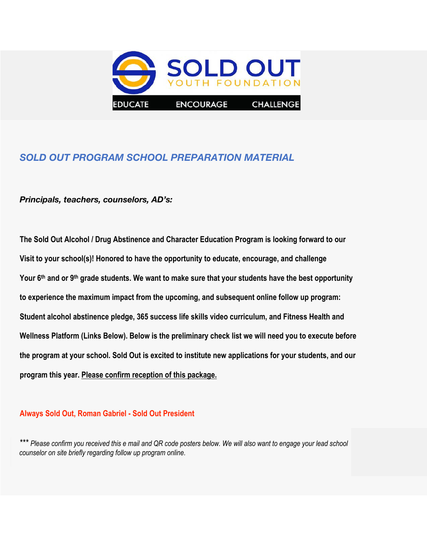

# *SOLD OUT PROGRAM SCHOOL PREPARATION MATERIAL*

#### *Principals, teachers, counselors, AD's:*

**The Sold Out Alcohol / Drug Abstinence and Character Education Program is looking forward to our Visit to your school(s)! Honored to have the opportunity to educate, encourage, and challenge Your 6th and or 9th grade students. We want to make sure that your students have the best opportunity to experience the maximum impact from the upcoming, and subsequent online follow up program: Student alcohol abstinence pledge, 365 success life skills video curriculum, and Fitness Health and Wellness Platform (Links Below). Below is the preliminary check list we will need you to execute before the program at your school. Sold Out is excited to institute new applications for your students, and our program this year. Please confirm reception of this package.** 

#### **Always Sold Out, Roman Gabriel - Sold Out President**

*\*\*\* Please confirm you received this e mail and QR code posters below. We will also want to engage your lead school counselor on site briefly regarding follow up program online.*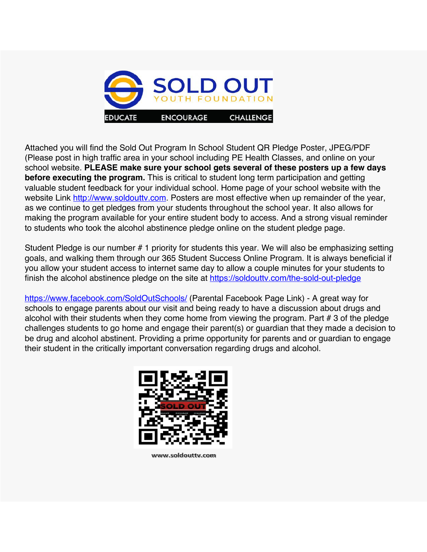

Attached you will find the Sold Out Program In School Student QR Pledge Poster, JPEG/PDF (Please post in high traffic area in your school including PE Health Classes, and online on your school website. **PLEASE make sure your school gets several of these posters up a few days before executing the program.** This is critical to student long term participation and getting valuable student feedback for your individual school. Home page of your school website with the website Link http://www.soldoutty.com. Posters are most effective when up remainder of the year, as we continue to get pledges from your students throughout the school year. It also allows for making the program available for your entire student body to access. And a strong visual reminder to students who took the alcohol abstinence pledge online on the student pledge page.

Student Pledge is our number # 1 priority for students this year. We will also be emphasizing setting goals, and walking them through our 365 Student Success Online Program. It is always beneficial if you allow your student access to internet same day to allow a couple minutes for your students to finish the alcohol abstinence pledge on the site at https://soldouttv.com/the-sold-out-pledge

https://www.facebook.com/SoldOutSchools/ (Parental Facebook Page Link) - A great way for schools to engage parents about our visit and being ready to have a discussion about drugs and alcohol with their students when they come home from viewing the program. Part # 3 of the pledge challenges students to go home and engage their parent(s) or guardian that they made a decision to be drug and alcohol abstinent. Providing a prime opportunity for parents and or guardian to engage their student in the critically important conversation regarding drugs and alcohol.



www.soldouttv.com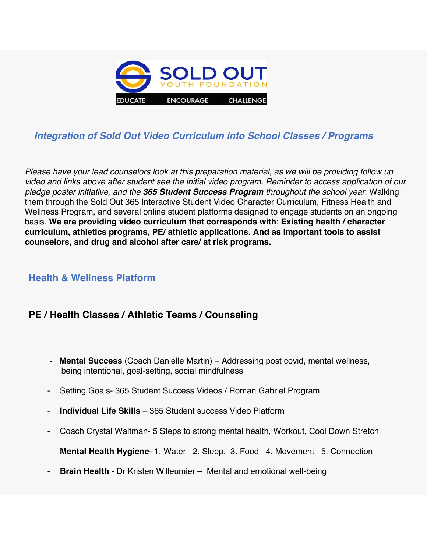

# *Integration of Sold Out Video Curriculum into School Classes / Programs*

*Please have your lead counselors look at this preparation material, as we will be providing follow up video and links above after student see the initial video program. Reminder to access application of our pledge poster initiative, and the 365 Student Success Program throughout the school year.* Walking them through the Sold Out 365 Interactive Student Video Character Curriculum, Fitness Health and Wellness Program, and several online student platforms designed to engage students on an ongoing basis. **We are providing video curriculum that corresponds with**: **Existing health / character curriculum, athletics programs, PE/ athletic applications. And as important tools to assist counselors, and drug and alcohol after care/ at risk programs.**

## **Health & Wellness Platform**

## **PE / Health Classes / Athletic Teams / Counseling**

- **Mental Success** (Coach Danielle Martin) Addressing post covid, mental wellness, being intentional, goal-setting, social mindfulness
- Setting Goals- 365 Student Success Videos / Roman Gabriel Program
- **Individual Life Skills** 365 Student success Video Platform
- Coach Crystal Waltman- 5 Steps to strong mental health, Workout, Cool Down Stretch

**Mental Health Hygiene**- 1. Water 2. Sleep. 3. Food 4. Movement 5. Connection

**Brain Health** - Dr Kristen Willeumier – Mental and emotional well-being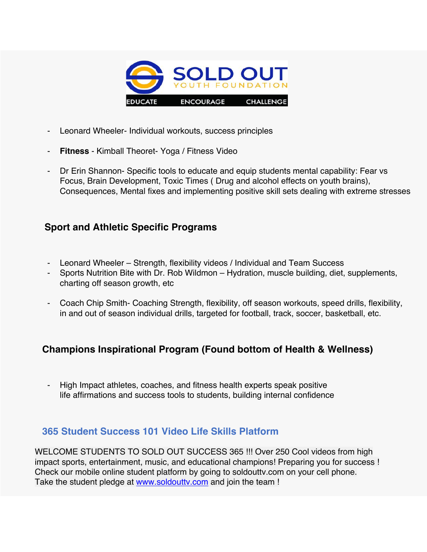

- Leonard Wheeler- Individual workouts, success principles
- **Fitness** Kimball Theoret- Yoga / Fitness Video
- Dr Erin Shannon- Specific tools to educate and equip students mental capability: Fear vs Focus, Brain Development, Toxic Times ( Drug and alcohol effects on youth brains), Consequences, Mental fixes and implementing positive skill sets dealing with extreme stresses

## **Sport and Athletic Specific Programs**

- Leonard Wheeler Strength, flexibility videos / Individual and Team Success
- Sports Nutrition Bite with Dr. Rob Wildmon Hydration, muscle building, diet, supplements, charting off season growth, etc
- Coach Chip Smith- Coaching Strength, flexibility, off season workouts, speed drills, flexibility, in and out of season individual drills, targeted for football, track, soccer, basketball, etc.

# **Champions Inspirational Program (Found bottom of Health & Wellness)**

- High Impact athletes, coaches, and fitness health experts speak positive life affirmations and success tools to students, building internal confidence

## **365 Student Success 101 Video Life Skills Platform**

WELCOME STUDENTS TO SOLD OUT SUCCESS 365 !!! Over 250 Cool videos from high impact sports, entertainment, music, and educational champions! Preparing you for success ! Check our mobile online student platform by going to soldouttv.com on your cell phone. Take the student pledge at www.soldouttv.com and join the team !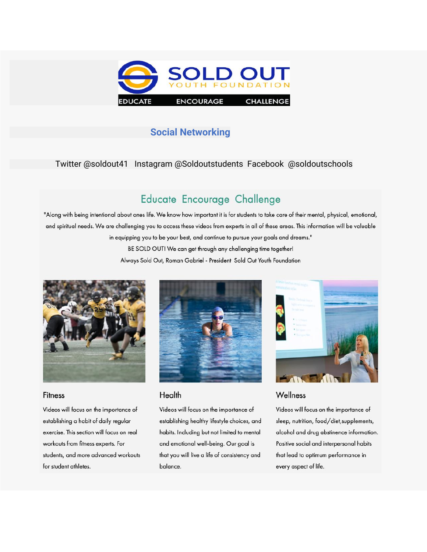

# **Social Networking**

### Twitter @soldout41 Instagram @Soldoutstudents Facebook @soldoutschools

# Educate Encourage Challenge

"Along with being intentional about ones life. We know how important it is for students to take care of their mental, physical, emotional, and spiritual needs. We are challenging you to access these videos from experts in all of these areas. This information will be valuable in equipping you to be your best, and continue to pursue your goals and dreams." BE SOLD OUT! We can get through any challenging time together! Always Sold Out, Roman Gabriel - President Sold Out Youth Foundation



#### Fitness

Videos will focus on the importance of establishing a habit of daily regular exercise. This section will focus on real workouts from fitness experts. For students, and more advanced workouts for student athletes.



#### Health

Videos will focus on the importance of establishing healthy lifestyle choices, and habits. Including but not limited to mental and emotional well-being. Our goal is that you will live a life of consistency and balance.



#### Wellness

Videos will focus on the importance of sleep, nutrition, food/diet, supplements, alcohol and drug abstinence information. Positive social and interpersonal habits that lead to optimum performance in every aspect of life.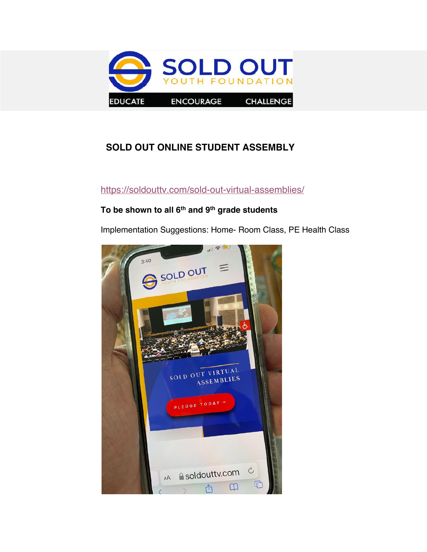

# **SOLD OUT ONLINE STUDENT ASSEMBLY**

## https://soldouttv.com/sold-out-virtual-assemblies/

## **To be shown to all 6th and 9th grade students**

Implementation Suggestions: Home- Room Class, PE Health Class

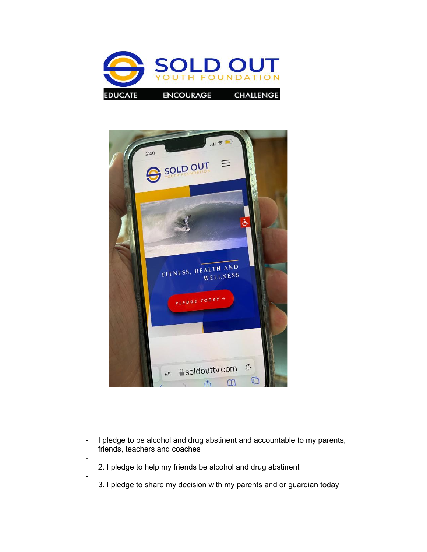



- I pledge to be alcohol and drug abstinent and accountable to my parents, friends, teachers and coaches
	- 2. I pledge to help my friends be alcohol and drug abstinent

-

-

3. I pledge to share my decision with my parents and or guardian today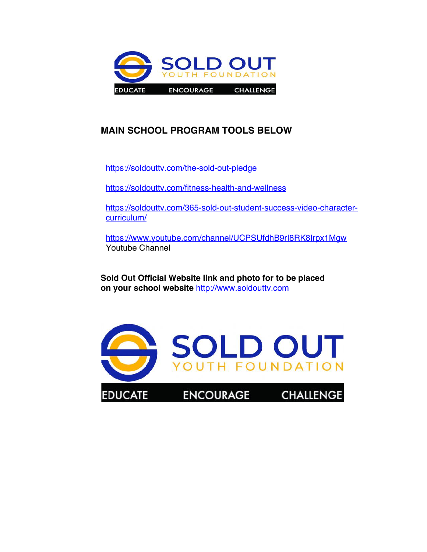

# **MAIN SCHOOL PROGRAM TOOLS BELOW**

https://soldouttv.com/the-sold-out-pledge

https://soldouttv.com/fitness-health-and-wellness

https://soldouttv.com/365-sold-out-student-success-video-charactercurriculum/

https://www.youtube.com/channel/UCPSUfdhB9rI8RK8Irpx1Mgw Youtube Channel

**Sold Out Official Website link and photo for to be placed on your school website** http://www.soldouttv.com

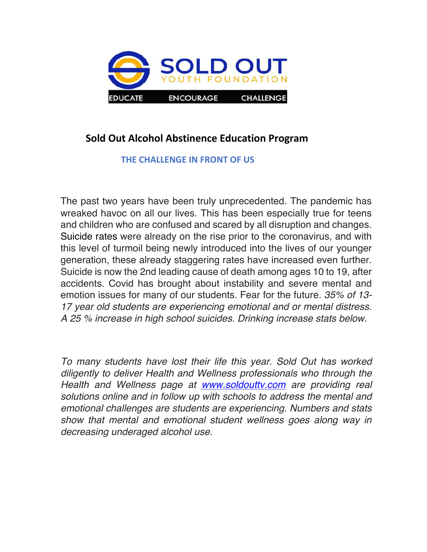

# **Sold Out Alcohol Abstinence Education Program**

## **THE CHALLENGE IN FRONT OF US**

The past two years have been truly unprecedented. The pandemic has wreaked havoc on all our lives. This has been especially true for teens and children who are confused and scared by all disruption and changes. Suicide rates were already on the rise prior to the coronavirus, and with this level of turmoil being newly introduced into the lives of our younger generation, these already staggering rates have increased even further. Suicide is now the 2nd leading cause of death among ages 10 to 19, after accidents. Covid has brought about instability and severe mental and emotion issues for many of our students. Fear for the future. *35% of 13- 17 year old students are experiencing emotional and or mental distress. A 25 % increase in high school suicides. Drinking increase stats below.* 

*To many students have lost their life this year. Sold Out has worked diligently to deliver Health and Wellness professionals who through the Health and Wellness page at www.soldouttv.com are providing real solutions online and in follow up with schools to address the mental and emotional challenges are students are experiencing. Numbers and stats show that mental and emotional student wellness goes along way in decreasing underaged alcohol use.*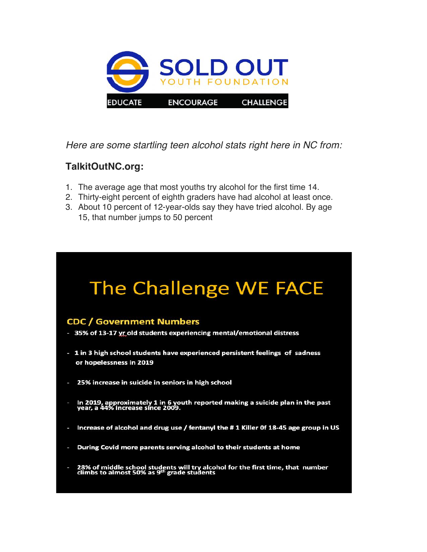

*Here are some startling teen alcohol stats right here in NC from:*

# **TalkitOutNC.org:**

- 1. The average age that most youths try alcohol for the first time 14.
- 2. Thirty-eight percent of eighth graders have had alcohol at least once.
- 3. About 10 percent of 12-year-olds say they have tried alcohol. By age 15, that number jumps to 50 percent

# The Challenge WE FACE

## **CDC / Government Numbers**

- 35% of 13-17 yr old students experiencing mental/emotional distress

- 1 in 3 high school students have experienced persistent feelings of sadness or hopelessness in 2019
- 25% increase in suicide in seniors in high school
- In 2019, approximately 1 in 6 youth reported making a suicide plan in the past<br>year, a 44% increase since 2009.
- Increase of alcohol and drug use / fentanyl the #1 Killer Of 18-45 age group in US
- During Covid more parents serving alcohol to their students at home
- 28% of middle school students will try alcohol for the first time, that number climbs to almost 50% as 9<sup>th</sup> grade students